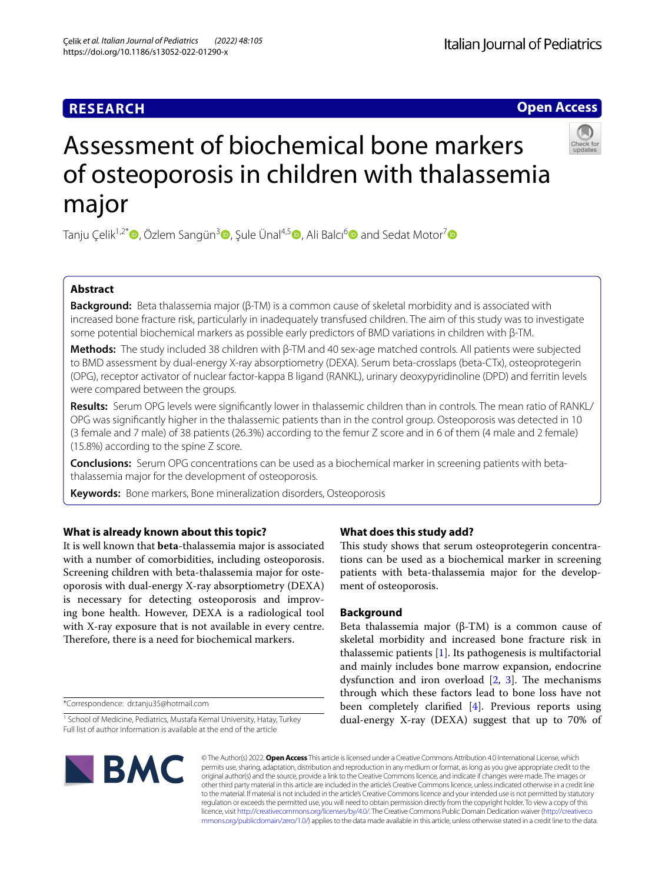## **RESEARCH**

# **Italian Journal of Pediatrics**

**Open Access**



# Assessment of biochemical bone markers of osteoporosis in children with thalassemia major

Tanju Celik<sup>1,2[\\*](https://orcid.org/0000-0003-3522-9406)</sup>  $\bullet$ , Özlem Sangün<sup>[3](https://orcid.org/0000-0002-9079-4574)</sup> $\bullet$ , Sule Ünal<sup>4,[5](https://orcid.org/0000-0002-3842-8788)</sup>  $\bullet$ , Ali Balcı<sup>6</sup>  $\bullet$  and Sedat Motor<sup>7</sup>  $\bullet$ 

## **Abstract**

**Background:** Beta thalassemia major (β-TM) is a common cause of skeletal morbidity and is associated with increased bone fracture risk, particularly in inadequately transfused children. The aim of this study was to investigate some potential biochemical markers as possible early predictors of BMD variations in children with β-TM.

**Methods:** The study included 38 children with β-TM and 40 sex-age matched controls. All patients were subjected to BMD assessment by dual-energy X-ray absorptiometry (DEXA). Serum beta-crosslaps (beta-CTx), osteoprotegerin (OPG), receptor activator of nuclear factor-kappa B ligand (RANKL), urinary deoxypyridinoline (DPD) and ferritin levels were compared between the groups.

**Results:** Serum OPG levels were signifcantly lower in thalassemic children than in controls. The mean ratio of RANKL/ OPG was signifcantly higher in the thalassemic patients than in the control group. Osteoporosis was detected in 10 (3 female and 7 male) of 38 patients (26.3%) according to the femur Z score and in 6 of them (4 male and 2 female) (15.8%) according to the spine Z score.

**Conclusions:** Serum OPG concentrations can be used as a biochemical marker in screening patients with betathalassemia major for the development of osteoporosis.

**Keywords:** Bone markers, Bone mineralization disorders, Osteoporosis

## **What is already known about this topic?**

It is well known that **beta**-thalassemia major is associated with a number of comorbidities, including osteoporosis. Screening children with beta-thalassemia major for osteoporosis with dual-energy X-ray absorptiometry (DEXA) is necessary for detecting osteoporosis and improving bone health. However, DEXA is a radiological tool with X-ray exposure that is not available in every centre. Therefore, there is a need for biochemical markers.

\*Correspondence: dr.tanju35@hotmail.com

<sup>&</sup>lt;sup>1</sup> School of Medicine, Pediatrics, Mustafa Kemal University, Hatay, Turkey Full list of author information is available at the end of the article



## **What does this study add?**

This study shows that serum osteoprotegerin concentrations can be used as a biochemical marker in screening patients with beta-thalassemia major for the development of osteoporosis.

## **Background**

Beta thalassemia major (β-TM) is a common cause of skeletal morbidity and increased bone fracture risk in thalassemic patients [\[1\]](#page-4-0). Its pathogenesis is multifactorial and mainly includes bone marrow expansion, endocrine dysfunction and iron overload  $[2, 3]$  $[2, 3]$  $[2, 3]$ . The mechanisms through which these factors lead to bone loss have not been completely clarifed [\[4](#page-4-3)]. Previous reports using dual-energy X-ray (DEXA) suggest that up to 70% of

© The Author(s) 2022. **Open Access** This article is licensed under a Creative Commons Attribution 4.0 International License, which permits use, sharing, adaptation, distribution and reproduction in any medium or format, as long as you give appropriate credit to the original author(s) and the source, provide a link to the Creative Commons licence, and indicate if changes were made. The images or other third party material in this article are included in the article's Creative Commons licence, unless indicated otherwise in a credit line to the material. If material is not included in the article's Creative Commons licence and your intended use is not permitted by statutory regulation or exceeds the permitted use, you will need to obtain permission directly from the copyright holder. To view a copy of this licence, visit [http://creativecommons.org/licenses/by/4.0/.](http://creativecommons.org/licenses/by/4.0/) The Creative Commons Public Domain Dedication waiver ([http://creativeco](http://creativecommons.org/publicdomain/zero/1.0/) [mmons.org/publicdomain/zero/1.0/](http://creativecommons.org/publicdomain/zero/1.0/)) applies to the data made available in this article, unless otherwise stated in a credit line to the data.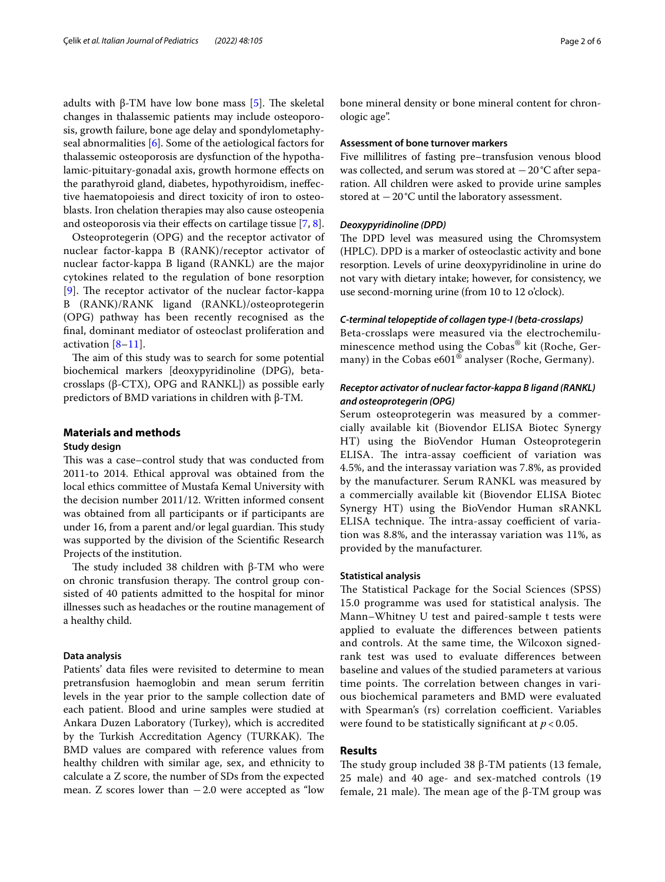adults with β-TM have low bone mass [[5\]](#page-4-4). The skeletal changes in thalassemic patients may include osteoporosis, growth failure, bone age delay and spondylometaphyseal abnormalities [[6\]](#page-4-5). Some of the aetiological factors for thalassemic osteoporosis are dysfunction of the hypothalamic-pituitary-gonadal axis, growth hormone efects on the parathyroid gland, diabetes, hypothyroidism, inefective haematopoiesis and direct toxicity of iron to osteoblasts. Iron chelation therapies may also cause osteopenia and osteoporosis via their efects on cartilage tissue [[7,](#page-4-6) [8](#page-4-7)].

Osteoprotegerin (OPG) and the receptor activator of nuclear factor-kappa B (RANK)/receptor activator of nuclear factor-kappa B ligand (RANKL) are the major cytokines related to the regulation of bone resorption  $[9]$  $[9]$  $[9]$ . The receptor activator of the nuclear factor-kappa B (RANK)/RANK ligand (RANKL)/osteoprotegerin (OPG) pathway has been recently recognised as the fnal, dominant mediator of osteoclast proliferation and activation  $[8-11]$  $[8-11]$ .

The aim of this study was to search for some potential biochemical markers [deoxypyridinoline (DPG), betacrosslaps (β-CTX), OPG and RANKL]) as possible early predictors of BMD variations in children with β-TM.

## **Materials and methods**

## **Study design**

This was a case–control study that was conducted from 2011-to 2014. Ethical approval was obtained from the local ethics committee of Mustafa Kemal University with the decision number 2011/12. Written informed consent was obtained from all participants or if participants are under 16, from a parent and/or legal guardian. This study was supported by the division of the Scientifc Research Projects of the institution.

The study included 38 children with β-TM who were on chronic transfusion therapy. The control group consisted of 40 patients admitted to the hospital for minor illnesses such as headaches or the routine management of a healthy child.

## **Data analysis**

Patients' data fles were revisited to determine to mean pretransfusion haemoglobin and mean serum ferritin levels in the year prior to the sample collection date of each patient. Blood and urine samples were studied at Ankara Duzen Laboratory (Turkey), which is accredited by the Turkish Accreditation Agency (TURKAK). The BMD values are compared with reference values from healthy children with similar age, sex, and ethnicity to calculate a Z score, the number of SDs from the expected mean. Z scores lower than  $-2.0$  were accepted as "low bone mineral density or bone mineral content for chronologic age".

## **Assessment of bone turnover markers**

Five millilitres of fasting pre–transfusion venous blood was collected, and serum was stored at  $-20$ °C after separation. All children were asked to provide urine samples stored at −20°C until the laboratory assessment.

### *Deoxypyridinoline (DPD)*

The DPD level was measured using the Chromsystem (HPLC). DPD is a marker of osteoclastic activity and bone resorption. Levels of urine deoxypyridinoline in urine do not vary with dietary intake; however, for consistency, we use second-morning urine (from 10 to 12 o'clock).

## *C‑terminal telopeptide of collagen type‑I (beta‑crosslaps)*

Beta-crosslaps were measured via the electrochemiluminescence method using the Cobas® kit (Roche, Germany) in the Cobas e601 $^{\circ\circ}$  analyser (Roche, Germany).

## *Receptor activator of nuclear factor‑kappa B ligand (RANKL) and osteoprotegerin (OPG)*

Serum osteoprotegerin was measured by a commercially available kit (Biovendor ELISA Biotec Synergy HT) using the BioVendor Human Osteoprotegerin ELISA. The intra-assay coefficient of variation was 4.5%, and the interassay variation was 7.8%, as provided by the manufacturer. Serum RANKL was measured by a commercially available kit (Biovendor ELISA Biotec Synergy HT) using the BioVendor Human sRANKL ELISA technique. The intra-assay coefficient of variation was 8.8%, and the interassay variation was 11%, as provided by the manufacturer.

## **Statistical analysis**

The Statistical Package for the Social Sciences (SPSS) 15.0 programme was used for statistical analysis. The Mann–Whitney U test and paired-sample t tests were applied to evaluate the diferences between patients and controls. At the same time, the Wilcoxon signedrank test was used to evaluate diferences between baseline and values of the studied parameters at various time points. The correlation between changes in various biochemical parameters and BMD were evaluated with Spearman's (rs) correlation coefficient. Variables were found to be statistically signifcant at *p* < 0.05.

## **Results**

The study group included 38 β-TM patients (13 female, 25 male) and 40 age- and sex-matched controls (19 female, 21 male). The mean age of the  $β$ -TM group was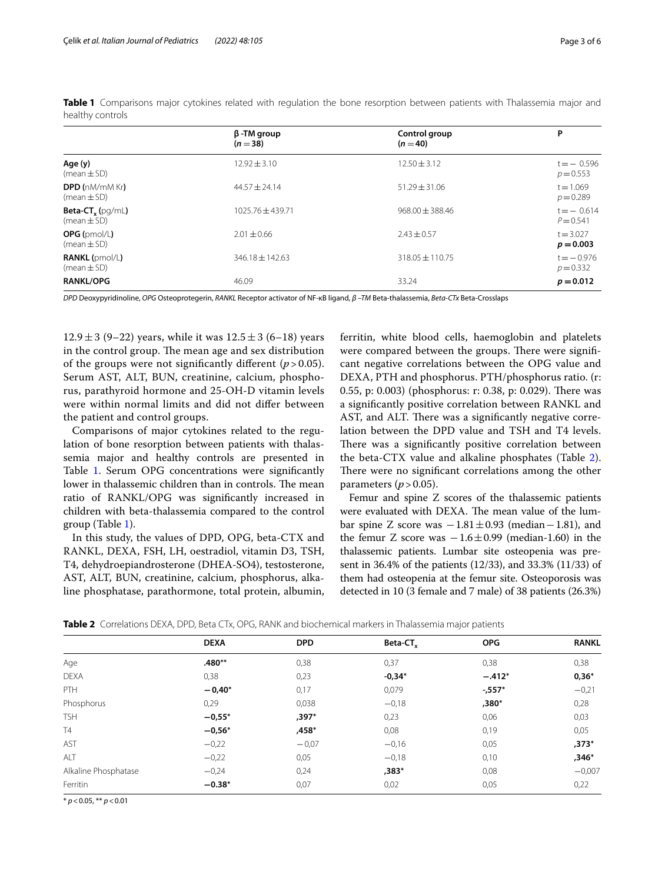|                                                       | $\beta$ -TM group<br>$(n=38)$ | Control group<br>$(n=40)$ | P                           |
|-------------------------------------------------------|-------------------------------|---------------------------|-----------------------------|
| Age (y)<br>$(mean \pm SD)$                            | $12.92 \pm 3.10$              | $12.50 \pm 3.12$          | $t = -0.596$<br>$p = 0.553$ |
| <b>DPD (nM/mM Kr)</b><br>$(mean \pm SD)$              | $44.57 + 24.14$               | $51.29 \pm 31.06$         | $t = 1.069$<br>$p = 0.289$  |
| <b>Beta-CT<sub>y</sub></b> (pg/mL)<br>$(mean \pm SD)$ | $1025.76 + 439.71$            | $968.00 \pm 388.46$       | $t = -0.614$<br>$P = 0.541$ |
| $OPG$ (pmol/L)<br>$(mean \pm SD)$                     | $2.01 + 0.66$                 | $2.43 \pm 0.57$           | $t = 3.027$<br>$p = 0.003$  |
| $RANKL$ (pmol/L)<br>$(mean \pm SD)$                   | $346.18 \pm 142.63$           | $318.05 \pm 110.75$       | $t = -0.976$<br>$p = 0.332$ |
| <b>RANKL/OPG</b>                                      | 46.09                         | 33.24                     | $p = 0.012$                 |

<span id="page-2-0"></span>**Table 1** Comparisons major cytokines related with regulation the bone resorption between patients with Thalassemia major and healthy controls

*DPD* Deoxypyridinoline, *OPG* Osteoprotegerin, *RANKL* Receptor activator of NF-κB ligand, *β –TM* Beta-thalassemia, *Beta-CTx* Beta-Crosslaps

 $12.9 \pm 3$  (9–22) years, while it was  $12.5 \pm 3$  (6–18) years in the control group. The mean age and sex distribution of the groups were not significantly different  $(p > 0.05)$ . Serum AST, ALT, BUN, creatinine, calcium, phosphorus, parathyroid hormone and 25-OH-D vitamin levels were within normal limits and did not difer between the patient and control groups.

Comparisons of major cytokines related to the regulation of bone resorption between patients with thalassemia major and healthy controls are presented in Table [1](#page-2-0). Serum OPG concentrations were significantly lower in thalassemic children than in controls. The mean ratio of RANKL/OPG was signifcantly increased in children with beta-thalassemia compared to the control group (Table [1](#page-2-0)).

In this study, the values of DPD, OPG, beta-CTX and RANKL, DEXA, FSH, LH, oestradiol, vitamin D3, TSH, T4, dehydroepiandrosterone (DHEA-SO4), testosterone, AST, ALT, BUN, creatinine, calcium, phosphorus, alkaline phosphatase, parathormone, total protein, albumin, ferritin, white blood cells, haemoglobin and platelets were compared between the groups. There were significant negative correlations between the OPG value and DEXA, PTH and phosphorus. PTH/phosphorus ratio. (r: 0.55, p: 0.003) (phosphorus: r: 0.38, p: 0.029). There was a signifcantly positive correlation between RANKL and AST, and ALT. There was a significantly negative correlation between the DPD value and TSH and T4 levels. There was a significantly positive correlation between the beta-CTX value and alkaline phosphates (Table [2](#page-2-1)). There were no significant correlations among the other parameters  $(p > 0.05)$ .

Femur and spine Z scores of the thalassemic patients were evaluated with DEXA. The mean value of the lumbar spine Z score was  $-1.81 \pm 0.93$  (median  $-1.81$ ), and the femur Z score was  $-1.6 \pm 0.99$  (median-1.60) in the thalassemic patients. Lumbar site osteopenia was present in 36.4% of the patients (12/33), and 33.3% (11/33) of them had osteopenia at the femur site. Osteoporosis was detected in 10 (3 female and 7 male) of 38 patients (26.3%)

<span id="page-2-1"></span>

|                      | <b>DEXA</b> | <b>DPD</b> | Beta-CT <sub>y</sub> | <b>OPG</b> | <b>RANKL</b> |
|----------------------|-------------|------------|----------------------|------------|--------------|
| Age                  | $.480**$    | 0,38       | 0,37                 | 0,38       | 0,38         |
| <b>DEXA</b>          | 0,38        | 0,23       | $-0,34*$             | $-.412*$   | $0,36*$      |
| <b>PTH</b>           | $-0.40*$    | 0,17       | 0,079                | $-.557*$   | $-0,21$      |
| Phosphorus           | 0,29        | 0,038      | $-0,18$              | ,380*      | 0,28         |
| <b>TSH</b>           | $-0.55*$    | $,397*$    | 0,23                 | 0,06       | 0,03         |
| T4                   | $-0,56*$    | ,458*      | 0,08                 | 0,19       | 0,05         |
| AST                  | $-0,22$     | $-0.07$    | $-0,16$              | 0,05       | $,373*$      |
| ALT                  | $-0,22$     | 0,05       | $-0,18$              | 0,10       | ,346*        |
| Alkaline Phosphatase | $-0,24$     | 0,24       | ,383*                | 0,08       | $-0,007$     |
| Ferritin             | $-0.38*$    | 0,07       | 0,02                 | 0,05       | 0,22         |

\* *p*<0.05, \*\* *p*<0.01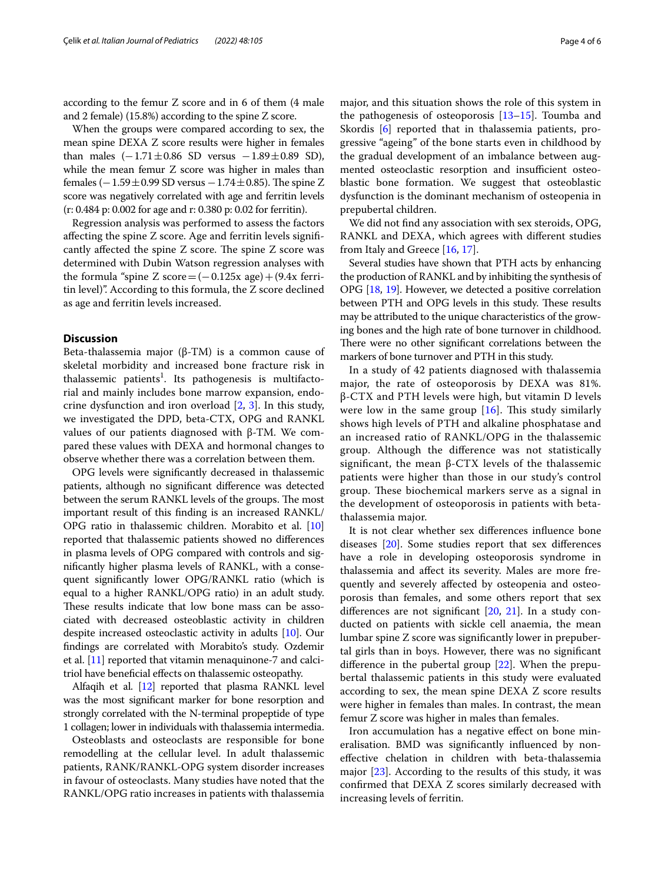according to the femur Z score and in 6 of them (4 male and 2 female) (15.8%) according to the spine Z score.

When the groups were compared according to sex, the mean spine DEXA Z score results were higher in females than males  $(-1.71 \pm 0.86$  SD versus  $-1.89 \pm 0.89$  SD), while the mean femur Z score was higher in males than females  $(-1.59 \pm 0.99 \text{ SD}$  versus  $-1.74 \pm 0.85$ ). The spine Z score was negatively correlated with age and ferritin levels (r: 0.484 p: 0.002 for age and r: 0.380 p: 0.02 for ferritin).

Regression analysis was performed to assess the factors afecting the spine Z score. Age and ferritin levels signifcantly affected the spine  $Z$  score. The spine  $Z$  score was determined with Dubin Watson regression analyses with the formula "spine Z score= $(-0.125x \text{ age}) + (9.4x \text{ ferri}$ tin level)". According to this formula, the Z score declined as age and ferritin levels increased.

## **Discussion**

Beta-thalassemia major (β-TM) is a common cause of skeletal morbidity and increased bone fracture risk in thalassemic patients<sup>1</sup>. Its pathogenesis is multifactorial and mainly includes bone marrow expansion, endocrine dysfunction and iron overload [[2,](#page-4-1) [3\]](#page-4-2). In this study, we investigated the DPD, beta-CTX, OPG and RANKL values of our patients diagnosed with β-TM. We compared these values with DEXA and hormonal changes to observe whether there was a correlation between them.

OPG levels were signifcantly decreased in thalassemic patients, although no signifcant diference was detected between the serum RANKL levels of the groups. The most important result of this fnding is an increased RANKL/ OPG ratio in thalassemic children. Morabito et al. [[10](#page-4-10)] reported that thalassemic patients showed no diferences in plasma levels of OPG compared with controls and signifcantly higher plasma levels of RANKL, with a consequent signifcantly lower OPG/RANKL ratio (which is equal to a higher RANKL/OPG ratio) in an adult study. These results indicate that low bone mass can be associated with decreased osteoblastic activity in children despite increased osteoclastic activity in adults [\[10](#page-4-10)]. Our fndings are correlated with Morabito's study. Ozdemir et al. [\[11\]](#page-4-9) reported that vitamin menaquinone-7 and calcitriol have benefcial efects on thalassemic osteopathy.

Alfaqih et al. [\[12](#page-4-11)] reported that plasma RANKL level was the most signifcant marker for bone resorption and strongly correlated with the N-terminal propeptide of type 1 collagen; lower in individuals with thalassemia intermedia.

Osteoblasts and osteoclasts are responsible for bone remodelling at the cellular level. In adult thalassemic patients, RANK/RANKL-OPG system disorder increases in favour of osteoclasts. Many studies have noted that the RANKL/OPG ratio increases in patients with thalassemia major, and this situation shows the role of this system in the pathogenesis of osteoporosis [\[13](#page-4-12)–[15\]](#page-4-13). Toumba and Skordis [[6\]](#page-4-5) reported that in thalassemia patients, progressive "ageing" of the bone starts even in childhood by the gradual development of an imbalance between augmented osteoclastic resorption and insufficient osteoblastic bone formation. We suggest that osteoblastic dysfunction is the dominant mechanism of osteopenia in prepubertal children.

We did not fnd any association with sex steroids, OPG, RANKL and DEXA, which agrees with diferent studies from Italy and Greece [\[16](#page-5-0), [17](#page-5-1)].

Several studies have shown that PTH acts by enhancing the production of RANKL and by inhibiting the synthesis of OPG [\[18](#page-5-2), [19](#page-5-3)]. However, we detected a positive correlation between PTH and OPG levels in this study. These results may be attributed to the unique characteristics of the growing bones and the high rate of bone turnover in childhood. There were no other significant correlations between the markers of bone turnover and PTH in this study.

In a study of 42 patients diagnosed with thalassemia major, the rate of osteoporosis by DEXA was 81%. β-CTX and PTH levels were high, but vitamin D levels were low in the same group  $[16]$ . This study similarly shows high levels of PTH and alkaline phosphatase and an increased ratio of RANKL/OPG in the thalassemic group. Although the diference was not statistically significant, the mean  $β$ -CTX levels of the thalassemic patients were higher than those in our study's control group. These biochemical markers serve as a signal in the development of osteoporosis in patients with betathalassemia major.

It is not clear whether sex diferences infuence bone diseases [[20](#page-5-4)]. Some studies report that sex diferences have a role in developing osteoporosis syndrome in thalassemia and afect its severity. Males are more frequently and severely afected by osteopenia and osteoporosis than females, and some others report that sex differences are not significant [\[20](#page-5-4), [21](#page-5-5)]. In a study conducted on patients with sickle cell anaemia, the mean lumbar spine Z score was signifcantly lower in prepubertal girls than in boys. However, there was no signifcant diference in the pubertal group [\[22](#page-5-6)]. When the prepubertal thalassemic patients in this study were evaluated according to sex, the mean spine DEXA Z score results were higher in females than males. In contrast, the mean femur Z score was higher in males than females.

Iron accumulation has a negative efect on bone mineralisation. BMD was signifcantly infuenced by nonefective chelation in children with beta-thalassemia major [\[23](#page-5-7)]. According to the results of this study, it was confrmed that DEXA Z scores similarly decreased with increasing levels of ferritin.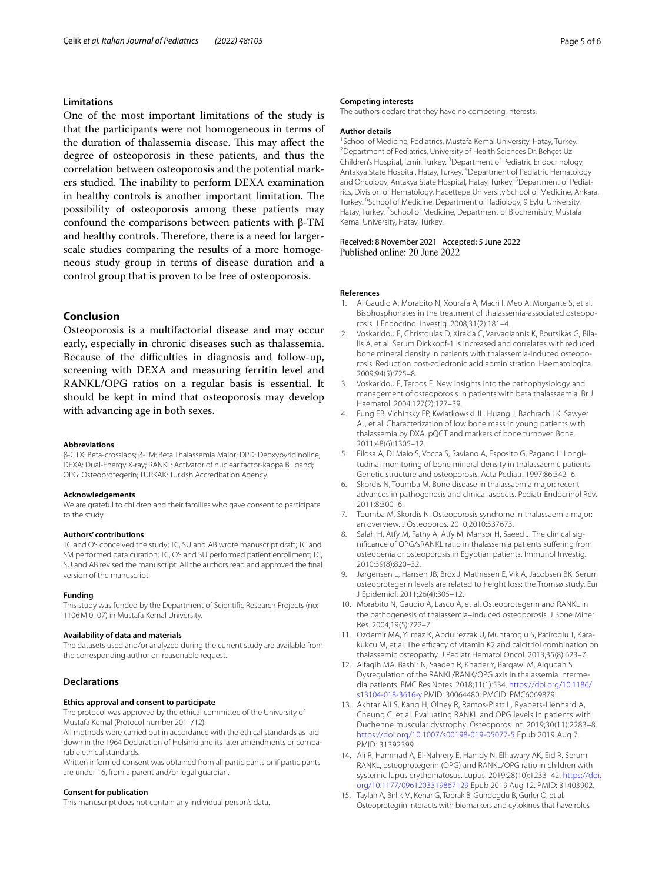## **Limitations**

One of the most important limitations of the study is that the participants were not homogeneous in terms of the duration of thalassemia disease. This may affect the degree of osteoporosis in these patients, and thus the correlation between osteoporosis and the potential markers studied. The inability to perform DEXA examination in healthy controls is another important limitation. The possibility of osteoporosis among these patients may confound the comparisons between patients with β-TM and healthy controls. Therefore, there is a need for largerscale studies comparing the results of a more homogeneous study group in terms of disease duration and a control group that is proven to be free of osteoporosis.

## **Conclusion**

Osteoporosis is a multifactorial disease and may occur early, especially in chronic diseases such as thalassemia. Because of the difficulties in diagnosis and follow-up, screening with DEXA and measuring ferritin level and RANKL/OPG ratios on a regular basis is essential. It should be kept in mind that osteoporosis may develop with advancing age in both sexes.

#### **Abbreviations**

β-CTX: Beta-crosslaps; β-TM: Beta Thalassemia Major; DPD: Deoxypyridinoline; DEXA: Dual-Energy X-ray; RANKL: Activator of nuclear factor-kappa B ligand; OPG: Osteoprotegerin; TURKAK: Turkish Accreditation Agency.

#### **Acknowledgements**

We are grateful to children and their families who gave consent to participate to the study.

#### **Authors' contributions**

TC and OS conceived the study; TC, SU and AB wrote manuscript draft; TC and SM performed data curation; TC, OS and SU performed patient enrollment; TC, SU and AB revised the manuscript. All the authors read and approved the fnal version of the manuscript.

#### **Funding**

This study was funded by the Department of Scientifc Research Projects (no: 1106M 0107) in Mustafa Kemal University.

#### **Availability of data and materials**

The datasets used and/or analyzed during the current study are available from the corresponding author on reasonable request.

## **Declarations**

## **Ethics approval and consent to participate**

The protocol was approved by the ethical committee of the University of

Mustafa Kemal (Protocol number 2011/12). All methods were carried out in accordance with the ethical standards as laid down in the 1964 Declaration of Helsinki and its later amendments or comparable ethical standards.

Written informed consent was obtained from all participants or if participants are under 16, from a parent and/or legal guardian.

#### **Consent for publication**

This manuscript does not contain any individual person's data.

#### **Competing interests**

The authors declare that they have no competing interests.

#### **Author details**

<sup>1</sup> School of Medicine, Pediatrics, Mustafa Kemal University, Hatay, Turkey.<br><sup>2</sup> Department of Pediatrics, University of Health Sciences Dr. Behcet Uz. <sup>2</sup> Department of Pediatrics, University of Health Sciences Dr. Behçet Uz Children's Hospital, İzmir, Turkey. 3 Department of Pediatric Endocrinology, Antakya State Hospital, Hatay, Turkey. 4 Department of Pediatric Hematology and Oncology, Antakya State Hospital, Hatay, Turkey.<sup>5</sup> Department of Pediatrics, Division of Hematology, Hacettepe University School of Medicine, Ankara, Turkey. <sup>6</sup>School of Medicine, Department of Radiology, 9 Eylul University, Hatay, Turkey.<sup>7</sup> School of Medicine, Department of Biochemistry, Mustafa Kemal University, Hatay, Turkey.

Received: 8 November 2021 Accepted: 5 June 2022 Published online: 20 June 2022

#### **References**

- <span id="page-4-0"></span>1. Al Gaudio A, Morabito N, Xourafa A, Macrì I, Meo A, Morgante S, et al. Bisphosphonates in the treatment of thalassemia-associated osteoporosis. J Endocrinol Investig. 2008;31(2):181–4.
- <span id="page-4-1"></span>2. Voskaridou E, Christoulas D, Xirakia C, Varvagiannis K, Boutsikas G, Bilalis A, et al. Serum Dickkopf-1 is increased and correlates with reduced bone mineral density in patients with thalassemia-induced osteoporosis. Reduction post-zoledronic acid administration. Haematologica. 2009;94(5):725–8.
- <span id="page-4-2"></span>3. Voskaridou E, Terpos E. New insights into the pathophysiology and management of osteoporosis in patients with beta thalassaemia. Br J Haematol. 2004;127(2):127–39.
- <span id="page-4-3"></span>4. Fung EB, Vichinsky EP, Kwiatkowski JL, Huang J, Bachrach LK, Sawyer AJ, et al. Characterization of low bone mass in young patients with thalassemia by DXA, pQCT and markers of bone turnover. Bone. 2011;48(6):1305–12.
- <span id="page-4-4"></span>5. Filosa A, Di Maio S, Vocca S, Saviano A, Esposito G, Pagano L. Longitudinal monitoring of bone mineral density in thalassaemic patients. Genetic structure and osteoporosis. Acta Pediatr. 1997;86:342–6.
- <span id="page-4-5"></span>6. Skordis N, Toumba M. Bone disease in thalassaemia major: recent advances in pathogenesis and clinical aspects. Pediatr Endocrinol Rev. 2011;8:300–6.
- <span id="page-4-6"></span>7. Toumba M, Skordis N. Osteoporosis syndrome in thalassaemia major: an overview. J Osteoporos. 2010;2010:537673.
- <span id="page-4-7"></span>8. Salah H, Atfy M, Fathy A, Atfy M, Mansor H, Saeed J. The clinical signifcance of OPG/sRANKL ratio in thalassemia patients sufering from osteopenia or osteoporosis in Egyptian patients. Immunol Investig. 2010;39(8):820–32.
- <span id="page-4-8"></span>9. Jørgensen L, Hansen JB, Brox J, Mathiesen E, Vik A, Jacobsen BK. Serum osteoprotegerin levels are related to height loss: the Tromsø study. Eur J Epidemiol. 2011;26(4):305–12.
- <span id="page-4-10"></span>10. Morabito N, Gaudio A, Lasco A, et al. Osteoprotegerin and RANKL in the pathogenesis of thalassemia–induced osteoporosis. J Bone Miner Res. 2004;19(5):722–7.
- <span id="page-4-9"></span>11. Ozdemir MA, Yilmaz K, Abdulrezzak U, Muhtaroglu S, Patiroglu T, Karakukcu M, et al. The efficacy of vitamin K2 and calcitriol combination on thalassemic osteopathy. J Pediatr Hematol Oncol. 2013;35(8):623–7.
- <span id="page-4-11"></span>12. Alfaqih MA, Bashir N, Saadeh R, Khader Y, Barqawi M, Alqudah S. Dysregulation of the RANKL/RANK/OPG axis in thalassemia intermedia patients. BMC Res Notes. 2018;11(1):534. [https://doi.org/10.1186/](https://doi.org/10.1186/s13104-018-3616-y) [s13104-018-3616-y](https://doi.org/10.1186/s13104-018-3616-y) PMID: 30064480; PMCID: PMC6069879.
- <span id="page-4-12"></span>13. Akhtar Ali S, Kang H, Olney R, Ramos-Platt L, Ryabets-Lienhard A, Cheung C, et al. Evaluating RANKL and OPG levels in patients with Duchenne muscular dystrophy. Osteoporos Int. 2019;30(11):2283–8. <https://doi.org/10.1007/s00198-019-05077-5> Epub 2019 Aug 7. PMID: 31392399.
- 14. Ali R, Hammad A, El-Nahrery E, Hamdy N, Elhawary AK, Eid R. Serum RANKL, osteoprotegerin (OPG) and RANKL/OPG ratio in children with systemic lupus erythematosus. Lupus. 2019;28(10):1233–42. [https://doi.](https://doi.org/10.1177/0961203319867129) [org/10.1177/0961203319867129](https://doi.org/10.1177/0961203319867129) Epub 2019 Aug 12. PMID: 31403902.
- <span id="page-4-13"></span>15. Taylan A, Birlik M, Kenar G, Toprak B, Gundogdu B, Gurler O, et al. Osteoprotegrin interacts with biomarkers and cytokines that have roles